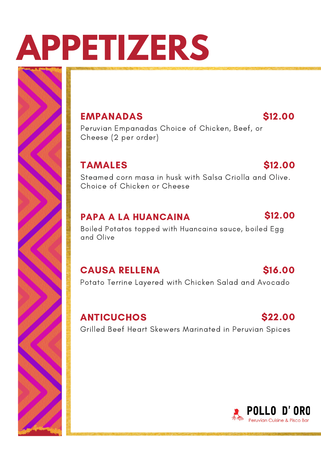# **APPETIZERS**

#### EMPANADAS

\$12.00

Peruvian Empanadas Choice of Chicken, Beef, or Cheese (2 per order)

#### TAMALES

#### \$12.00

Steamed corn masa in husk with Salsa Criolla and Olive. Choice of Chicken or Cheese

#### PAPA A LA HUANCAINA

#### \$12.00

Boiled Potatos topped with Huancaina sauce, boiled Egg and Olive

#### CAUSA RELLENA

#### \$16.00

Potato Terrine Layered with Chicken Salad and Avocado

#### **ANTICUCHOS**

#### \$22.00

Grilled Beef Heart Skewers Marinated in Peruvian Spices

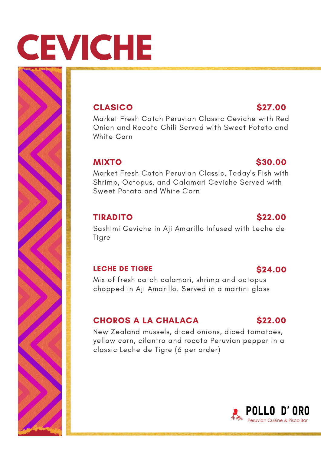# **CEVICHE**

#### **CLASICO**

Market Fresh Catch Peruvian Classic Ceviche with Red Onion and Rocoto Chili Served with Sweet Potato and White Corn

#### MIXTO

#### Market Fresh Catch Peruvian Classic, Today's Fish with Shrimp, Octopus, and Calamari Ceviche Served with Sweet Potato and White Corn

#### TIRADITO

#### \$22.00

\$30.00

Sashimi Ceviche in Aji Amarillo Infused with Leche de Tigre

#### LECHE DE TIGRE

#### Mix of fresh catch calamari, shrimp and octopus chopped in Aji Amarillo. Served in a martini glass

#### CHOROS A LA CHALACA

#### New Zealand mussels, diced onions, diced tomatoes, yellow corn, cilantro and rocoto Peruvian pepper in a classic Leche de Tigre (6 per order)



#### \$27.00

\$24.00

\$22.00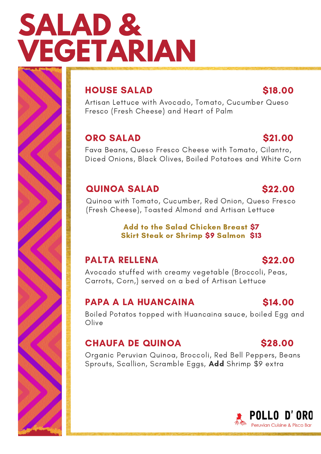## **SALAD & VEGETARIAN**

#### HOUSE SALAD

Artisan Lettuce with Avocado, Tomato, Cucumber Queso Fresco (Fresh Cheese) and Heart of Palm

#### ORO SALAD

#### \$21.00

\$22.00

\$18.00

Fava Beans, Queso Fresco Cheese with Tomato, Cilantro, Diced Onions, Black Olives, Boiled Potatoes and White Corn

#### QUINOA SALAD

#### Quinoa with Tomato, Cucumber, Red Onion, Queso Fresco (Fresh Cheese), Toasted Almond and Artisan Lettuce

#### Add to the Salad Chicken Breast \$7 Skirt Steak or Shrimp \$9 Salmon \$13

#### PALTA RELLENA

#### Avocado stuffed with creamy vegetable (Broccoli, Peas, Carrots, Corn,) served on a bed of Artisan Lettuce

#### PAPA A LA HUANCAINA

Boiled Potatos topped with Huancaina sauce, boiled Egg and Olive

#### CHAUFA DE QUINOA

Organic Peruvian Quinoa, Broccoli, Red Bell Peppers, Beans Sprouts, Scallion, Scramble Eggs, Add Shrimp \$9 extra

#### \$14.00

\$28.00

\$22.00

#### **POLLO D'ORO Peruvian Cuisine & Pisco Bar**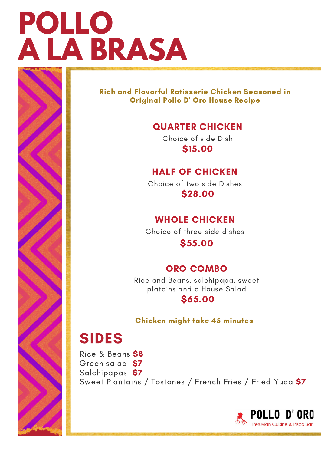## **POLLO A LA BRASA**

Rich and Flavorful Rotisserie Chicken Seasoned in Original Pollo D' Oro House Recipe

#### QUARTER CHICKEN

Choice of side Dish \$15.00

#### HALF OF CHICKEN

Choice of two side Dishes \$28.00

#### WHOLE CHICKEN

Choice of three side dishes

\$55.00

#### ORO COMBO

Rice and Beans, salchipapa, sweet platains and a House Salad

#### \$65.00

#### Chicken might take 45 minutes

### SIDES

Rice & Beans \$8 Green salad \$7 Salchipapas \$7 Sweet Plantains / Tostones / French Fries / Fried Yuca \$7

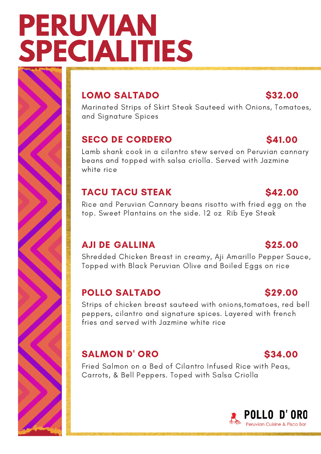## **PERUVIAN SPECIALITIES**

#### LOMO SALTADO

Marinated Strips of Skirt Steak Sauteed with Onions, Tomatoes, and Signature Spices

#### SECO DE CORDERO

Lamb shank cook in a cilantro stew served on Peruvian cannary beans and topped with salsa criolla. Served with Jazmine white rice

#### TACU TACU STEAK

Rice and Peruvian Cannary beans risotto with fried egg on the top. Sweet Plantains on the side. 12 oz Rib Eye Steak

#### AJI DE GALLINA

Shredded Chicken Breast in creamy, Aji Amarillo Pepper Sauce, Topped with Black Peruvian Olive and Boiled Eggs on rice

#### POLLO SALTADO

Strips of chicken breast sauteed with onions,tomatoes, red bell peppers, cilantro and signature spices. Layered with french fries and served with Jazmine white rice

#### SALMON D' ORO

Fried Salmon on a Bed of Cilantro Infused Rice with Peas, Carrots, & Bell Peppers. Toped with Salsa Criolla



### \$25.00

#### \$41.00

\$32.00

#### \$42.00

#### \$29.00

\$34.00

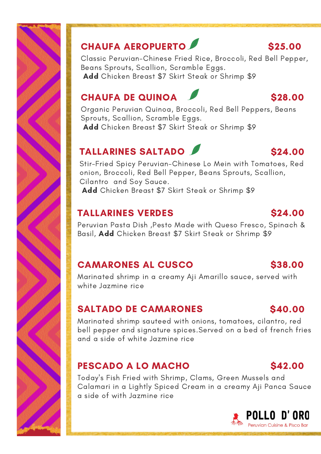

### CHAUFA AEROPUERTO

Classic Peruvian-Chinese Fried Rice, Broccoli, Red Bell Pepper, Beans Sprouts, Scallion, Scramble Eggs. Add Chicken Breast \$7 Skirt Steak or Shrimp \$9

### CHAUFA DE QUINOA

Organic Peruvian Quinoa, Broccoli, Red Bell Peppers, Beans Sprouts, Scallion, Scramble Eggs. Add Chicken Breast \$7 Skirt Steak or Shrimp \$9

### TALLARINES SALTADO

Stir-Fried Spicy Peruvian-Chinese Lo Mein with Tomatoes, Red onion, Broccoli, Red Bell Pepper, Beans Sprouts, Scallion, Cilantro and Soy Sauce. Add Chicken Breast \$7 Skirt Steak or Shrimp \$9

#### TALLARINES VERDES

Peruvian Pasta Dish ,Pesto Made with Queso Fresco, Spinach & Basil, Add Chicken Breast \$7 Skirt Steak or Shrimp \$9

### CAMARONES AL CUSCO

Marinated shrimp in a creamy Aji Amarillo sauce, served with white Jazmine rice

#### SALTADO DE CAMARONES

Marinated shrimp sauteed with onions, tomatoes, cilantro, red bell pepper and signature spices.Served on a bed of french fries and a side of white Jazmine rice

#### PESCADO A LO MACHO

Today's Fish Fried with Shrimp, Clams, Green Mussels and Calamari in a Lightly Spiced Cream in a creamy Aji Panca Sauce a side of with Jazmine rice



Peruvian Cuisine & Pisco Bar

#### \$25.00

\$28.00

### \$24.00

#### \$38.00

### \$40.00



\$24.00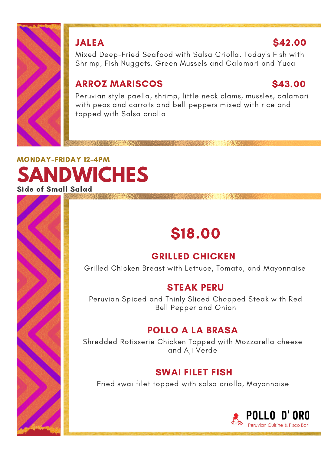

#### JALEA

#### \$42.00

Mixed Deep-Fried Seafood with Salsa Criolla. Today's Fish with Shrimp, Fish Nuggets, Green Mussels and Calamari and Yuca

#### ARROZ MARISCOS

#### \$43.00

Peruvian style paella, shrimp, little neck clams, mussles, calamari with peas and carrots and bell peppers mixed with rice and topped with Salsa criolla

A STATISTICS IN THE REAL PROPERTY

#### **ANDWICHES** MONDAY-FRIDAY 12-4PM Side of Small Salad

## \$18.00

#### GRILLED CHICKEN

Grilled Chicken Breast with Lettuce, Tomato, and Mayonnaise

#### STEAK PERU

Peruvian Spiced and Thinly Sliced Chopped Steak with Red Bell Pepper and Onion

#### POLLO A LA BRASA

Shredded Rotisserie Chicken Topped with Mozzarella cheese and Aji Verde

#### SWAI FILET FISH

Fried swai filet topped with salsa criolla, Mayonnaise

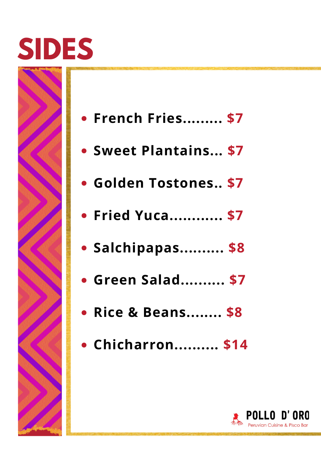## **SIDES**



- **Sweet Plantains... \$7**
- **Golden Tostones.. \$7**
- **Fried Yuca............ \$7**
- **Salchipapas.......... \$8**
- **Green Salad.......... \$7**
- **Rice & Beans........ \$8**
- **Chicharron.......... \$14**